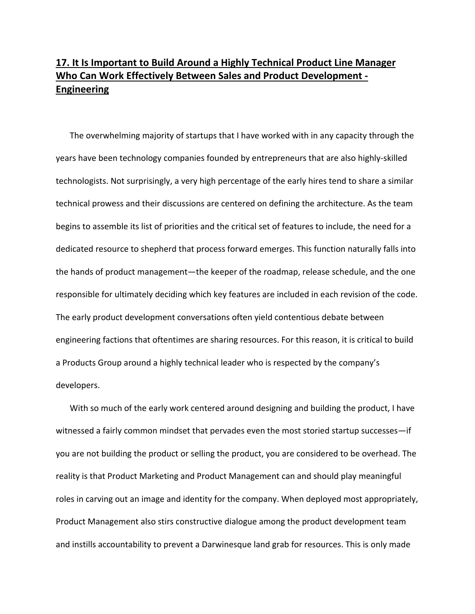## **17. It Is Important to Build Around a Highly Technical Product Line Manager Who Can Work Effectively Between Sales and Product Development ‐ Engineering**

The overwhelming majority of startups that I have worked with in any capacity through the years have been technology companies founded by entrepreneurs that are also highly‐skilled technologists. Not surprisingly, a very high percentage of the early hires tend to share a similar technical prowess and their discussions are centered on defining the architecture. As the team begins to assemble its list of priorities and the critical set of features to include, the need for a dedicated resource to shepherd that process forward emerges. This function naturally falls into the hands of product management—the keeper of the roadmap, release schedule, and the one responsible for ultimately deciding which key features are included in each revision of the code. The early product development conversations often yield contentious debate between engineering factions that oftentimes are sharing resources. For this reason, it is critical to build a Products Group around a highly technical leader who is respected by the company's developers.

With so much of the early work centered around designing and building the product, I have witnessed a fairly common mindset that pervades even the most storied startup successes—if you are not building the product or selling the product, you are considered to be overhead. The reality is that Product Marketing and Product Management can and should play meaningful roles in carving out an image and identity for the company. When deployed most appropriately, Product Management also stirs constructive dialogue among the product development team and instills accountability to prevent a Darwinesque land grab for resources. This is only made